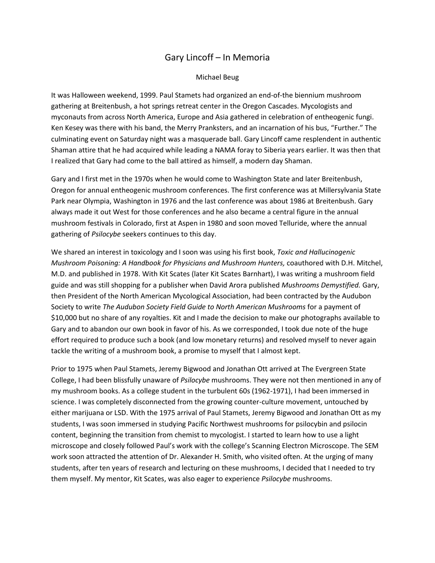## Gary Lincoff – In Memoria

## Michael Beug

It was Halloween weekend, 1999. Paul Stamets had organized an end-of-the biennium mushroom gathering at Breitenbush, a hot springs retreat center in the Oregon Cascades. Mycologists and myconauts from across North America, Europe and Asia gathered in celebration of entheogenic fungi. Ken Kesey was there with his band, the Merry Pranksters, and an incarnation of his bus, "Further." The culminating event on Saturday night was a masquerade ball. Gary Lincoff came resplendent in authentic Shaman attire that he had acquired while leading a NAMA foray to Siberia years earlier. It was then that I realized that Gary had come to the ball attired as himself, a modern day Shaman.

Gary and I first met in the 1970s when he would come to Washington State and later Breitenbush, Oregon for annual entheogenic mushroom conferences. The first conference was at Millersylvania State Park near Olympia, Washington in 1976 and the last conference was about 1986 at Breitenbush. Gary always made it out West for those conferences and he also became a central figure in the annual mushroom festivals in Colorado, first at Aspen in 1980 and soon moved Telluride, where the annual gathering of *Psilocybe* seekers continues to this day.

We shared an interest in toxicology and I soon was using his first book, *Toxic and Hallucinogenic Mushroom Poisoning: A Handbook for Physicians and Mushroom Hunters,* coauthored with D.H. Mitchel, M.D. and published in 1978. With Kit Scates (later Kit Scates Barnhart), I was writing a mushroom field guide and was still shopping for a publisher when David Arora published *Mushrooms Demystified.* Gary, then President of the North American Mycological Association, had been contracted by the Audubon Society to write *The Audubon Society Field Guide to North American Mushrooms* for a payment of \$10,000 but no share of any royalties. Kit and I made the decision to make our photographs available to Gary and to abandon our own book in favor of his. As we corresponded, I took due note of the huge effort required to produce such a book (and low monetary returns) and resolved myself to never again tackle the writing of a mushroom book, a promise to myself that I almost kept.

Prior to 1975 when Paul Stamets, Jeremy Bigwood and Jonathan Ott arrived at The Evergreen State College, I had been blissfully unaware of *Psilocybe* mushrooms. They were not then mentioned in any of my mushroom books. As a college student in the turbulent 60s (1962-1971), I had been immersed in science. I was completely disconnected from the growing counter-culture movement, untouched by either marijuana or LSD. With the 1975 arrival of Paul Stamets, Jeremy Bigwood and Jonathan Ott as my students, I was soon immersed in studying Pacific Northwest mushrooms for psilocybin and psilocin content, beginning the transition from chemist to mycologist. I started to learn how to use a light microscope and closely followed Paul's work with the college's Scanning Electron Microscope. The SEM work soon attracted the attention of Dr. Alexander H. Smith, who visited often. At the urging of many students, after ten years of research and lecturing on these mushrooms, I decided that I needed to try them myself. My mentor, Kit Scates, was also eager to experience *Psilocybe* mushrooms.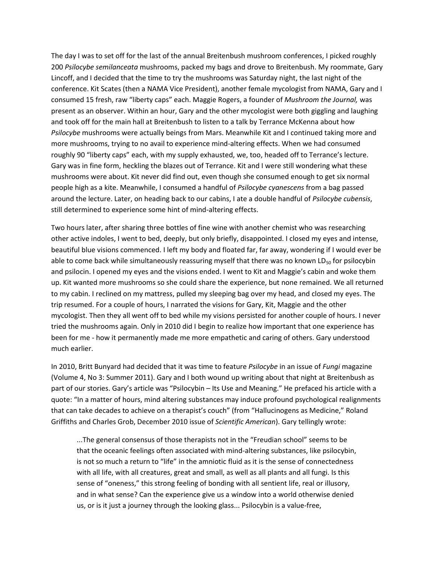The day I was to set off for the last of the annual Breitenbush mushroom conferences, I picked roughly 200 *Psilocybe semilanceata* mushrooms, packed my bags and drove to Breitenbush. My roommate, Gary Lincoff, and I decided that the time to try the mushrooms was Saturday night, the last night of the conference. Kit Scates (then a NAMA Vice President), another female mycologist from NAMA, Gary and I consumed 15 fresh, raw "liberty caps" each. Maggie Rogers, a founder of *Mushroom the Journal,* was present as an observer. Within an hour, Gary and the other mycologist were both giggling and laughing and took off for the main hall at Breitenbush to listen to a talk by Terrance McKenna about how *Psilocybe* mushrooms were actually beings from Mars. Meanwhile Kit and I continued taking more and more mushrooms, trying to no avail to experience mind-altering effects. When we had consumed roughly 90 "liberty caps" each, with my supply exhausted, we, too, headed off to Terrance's lecture. Gary was in fine form, heckling the blazes out of Terrance. Kit and I were still wondering what these mushrooms were about. Kit never did find out, even though she consumed enough to get six normal people high as a kite. Meanwhile, I consumed a handful of *Psilocybe cyanescens* from a bag passed around the lecture. Later, on heading back to our cabins, I ate a double handful of *Psilocybe cubensis*, still determined to experience some hint of mind-altering effects.

Two hours later, after sharing three bottles of fine wine with another chemist who was researching other active indoles, I went to bed, deeply, but only briefly, disappointed. I closed my eyes and intense, beautiful blue visions commenced. I left my body and floated far, far away, wondering if I would ever be able to come back while simultaneously reassuring myself that there was no known LD $_{50}$  for psilocybin and psilocin. I opened my eyes and the visions ended. I went to Kit and Maggie's cabin and woke them up. Kit wanted more mushrooms so she could share the experience, but none remained. We all returned to my cabin. I reclined on my mattress, pulled my sleeping bag over my head, and closed my eyes. The trip resumed. For a couple of hours, I narrated the visions for Gary, Kit, Maggie and the other mycologist. Then they all went off to bed while my visions persisted for another couple of hours. I never tried the mushrooms again. Only in 2010 did I begin to realize how important that one experience has been for me - how it permanently made me more empathetic and caring of others. Gary understood much earlier.

In 2010, Britt Bunyard had decided that it was time to feature *Psilocybe* in an issue of *Fungi* magazine (Volume 4, No 3: Summer 2011). Gary and I both wound up writing about that night at Breitenbush as part of our stories. Gary's article was "Psilocybin – Its Use and Meaning." He prefaced his article with a quote: "In a matter of hours, mind altering substances may induce profound psychological realignments that can take decades to achieve on a therapist's couch" (from "Hallucinogens as Medicine," Roland Griffiths and Charles Grob, December 2010 issue of *Scientific American*). Gary tellingly wrote:

...The general consensus of those therapists not in the "Freudian school" seems to be that the oceanic feelings often associated with mind-altering substances, like psilocybin, is not so much a return to "life" in the amniotic fluid as it is the sense of connectedness with all life, with all creatures, great and small, as well as all plants and all fungi. Is this sense of "oneness," this strong feeling of bonding with all sentient life, real or illusory, and in what sense? Can the experience give us a window into a world otherwise denied us, or is it just a journey through the looking glass... Psilocybin is a value-free,